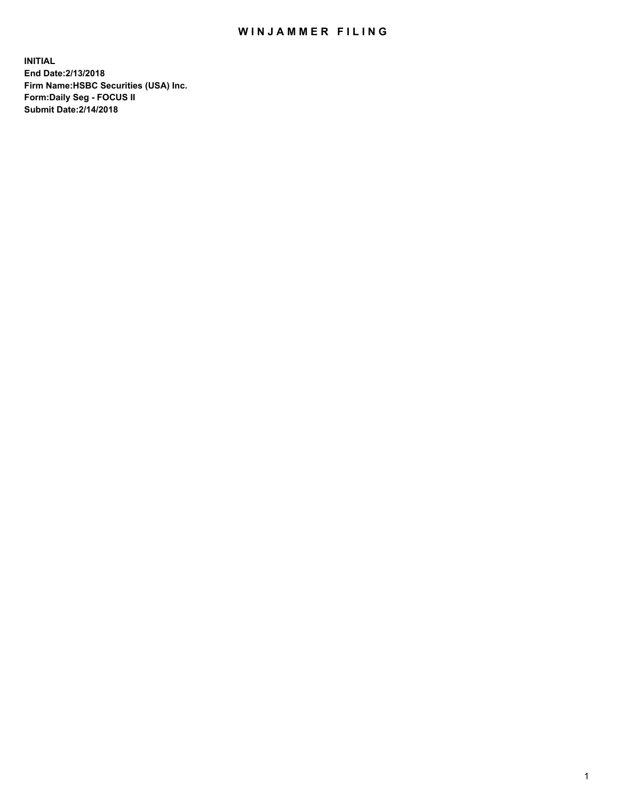## WIN JAMMER FILING

**INITIAL End Date:2/13/2018 Firm Name:HSBC Securities (USA) Inc. Form:Daily Seg - FOCUS II Submit Date:2/14/2018**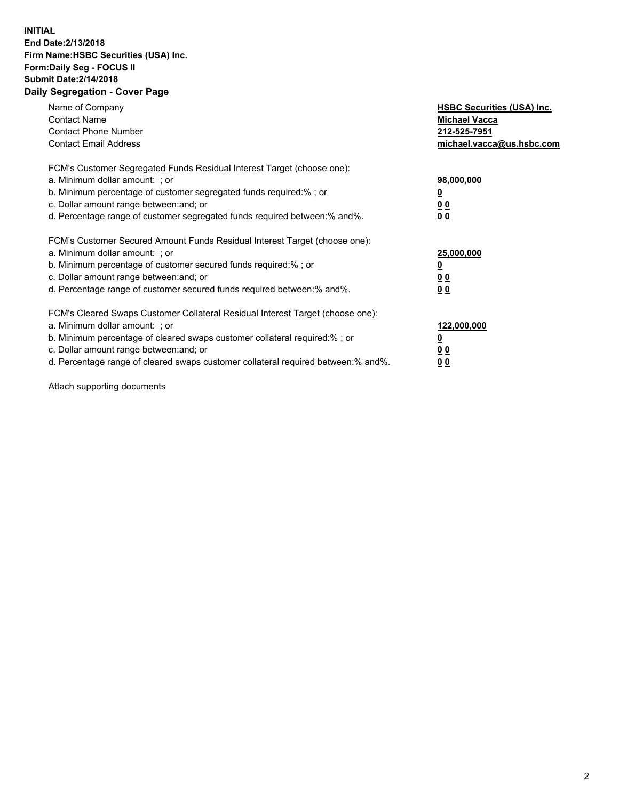## **INITIAL End Date:2/13/2018 Firm Name:HSBC Securities (USA) Inc. Form:Daily Seg - FOCUS II Submit Date:2/14/2018 Daily Segregation - Cover Page**

| Name of Company<br><b>Contact Name</b><br><b>Contact Phone Number</b><br><b>Contact Email Address</b>                                                                                                                                                                                                                         | <b>HSBC Securities (USA) Inc.</b><br><b>Michael Vacca</b><br>212-525-7951<br>michael.vacca@us.hsbc.com |
|-------------------------------------------------------------------------------------------------------------------------------------------------------------------------------------------------------------------------------------------------------------------------------------------------------------------------------|--------------------------------------------------------------------------------------------------------|
| FCM's Customer Segregated Funds Residual Interest Target (choose one):<br>a. Minimum dollar amount: ; or<br>b. Minimum percentage of customer segregated funds required:%; or<br>c. Dollar amount range between: and; or<br>d. Percentage range of customer segregated funds required between: % and %.                       | 98,000,000<br><u>0</u><br><u>00</u><br><u>00</u>                                                       |
| FCM's Customer Secured Amount Funds Residual Interest Target (choose one):<br>a. Minimum dollar amount: ; or<br>b. Minimum percentage of customer secured funds required:%; or<br>c. Dollar amount range between: and; or<br>d. Percentage range of customer secured funds required between: % and %.                         | 25,000,000<br><u>0</u><br><u>00</u><br>00                                                              |
| FCM's Cleared Swaps Customer Collateral Residual Interest Target (choose one):<br>a. Minimum dollar amount: ; or<br>b. Minimum percentage of cleared swaps customer collateral required:%; or<br>c. Dollar amount range between: and; or<br>d. Percentage range of cleared swaps customer collateral required between:% and%. | 122,000,000<br><u>0</u><br><u>00</u><br><u>00</u>                                                      |

Attach supporting documents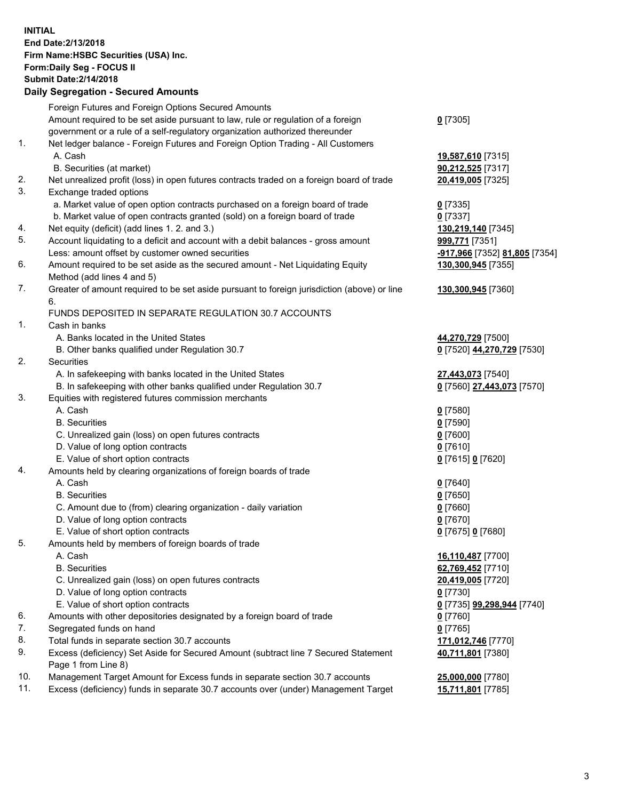**INITIAL End Date:2/13/2018 Firm Name:HSBC Securities (USA) Inc. Form:Daily Seg - FOCUS II Submit Date:2/14/2018 Daily Segregation - Secured Amounts**

|     | Dany Oogrogaach - Ocearea Amoanta                                                           |                               |
|-----|---------------------------------------------------------------------------------------------|-------------------------------|
|     | Foreign Futures and Foreign Options Secured Amounts                                         |                               |
|     | Amount required to be set aside pursuant to law, rule or regulation of a foreign            | $0$ [7305]                    |
|     | government or a rule of a self-regulatory organization authorized thereunder                |                               |
| 1.  | Net ledger balance - Foreign Futures and Foreign Option Trading - All Customers             |                               |
|     | A. Cash                                                                                     | 19,587,610 [7315]             |
|     | B. Securities (at market)                                                                   | 90,212,525 [7317]             |
| 2.  | Net unrealized profit (loss) in open futures contracts traded on a foreign board of trade   | 20,419,005 [7325]             |
| 3.  | Exchange traded options                                                                     |                               |
|     | a. Market value of open option contracts purchased on a foreign board of trade              | $0$ [7335]                    |
|     | b. Market value of open contracts granted (sold) on a foreign board of trade                | $0$ [7337]                    |
| 4.  | Net equity (deficit) (add lines 1.2. and 3.)                                                | 130,219,140 [7345]            |
| 5.  | Account liquidating to a deficit and account with a debit balances - gross amount           | 999,771 [7351]                |
|     | Less: amount offset by customer owned securities                                            | -917,966 [7352] 81,805 [7354] |
| 6.  | Amount required to be set aside as the secured amount - Net Liquidating Equity              | 130,300,945 [7355]            |
|     | Method (add lines 4 and 5)                                                                  |                               |
| 7.  | Greater of amount required to be set aside pursuant to foreign jurisdiction (above) or line | 130,300,945 [7360]            |
|     | 6.                                                                                          |                               |
|     | FUNDS DEPOSITED IN SEPARATE REGULATION 30.7 ACCOUNTS                                        |                               |
| 1.  | Cash in banks                                                                               |                               |
|     | A. Banks located in the United States                                                       | 44,270,729 [7500]             |
|     | B. Other banks qualified under Regulation 30.7                                              | 0 [7520] 44,270,729 [7530]    |
| 2.  | Securities                                                                                  |                               |
|     | A. In safekeeping with banks located in the United States                                   | 27,443,073 [7540]             |
|     | B. In safekeeping with other banks qualified under Regulation 30.7                          | 0 [7560] 27,443,073 [7570]    |
| 3.  | Equities with registered futures commission merchants                                       |                               |
|     | A. Cash                                                                                     | $0$ [7580]                    |
|     | <b>B.</b> Securities                                                                        | $0$ [7590]                    |
|     | C. Unrealized gain (loss) on open futures contracts                                         | $0$ [7600]                    |
|     | D. Value of long option contracts                                                           | $0$ [7610]                    |
|     | E. Value of short option contracts                                                          | 0 [7615] 0 [7620]             |
| 4.  | Amounts held by clearing organizations of foreign boards of trade                           |                               |
|     | A. Cash                                                                                     | $0$ [7640]                    |
|     | <b>B.</b> Securities                                                                        | $0$ [7650]                    |
|     | C. Amount due to (from) clearing organization - daily variation                             | $0$ [7660]                    |
|     | D. Value of long option contracts                                                           | $0$ [7670]                    |
|     | E. Value of short option contracts                                                          | 0 [7675] 0 [7680]             |
| 5.  | Amounts held by members of foreign boards of trade                                          |                               |
|     | A. Cash                                                                                     | 16,110,487 [7700]             |
|     | <b>B.</b> Securities                                                                        | 62,769,452 [7710]             |
|     | C. Unrealized gain (loss) on open futures contracts                                         | 20,419,005 [7720]             |
|     | D. Value of long option contracts                                                           | $0$ [7730]                    |
|     | E. Value of short option contracts                                                          | 0 [7735] 99,298,944 [7740]    |
| 6.  | Amounts with other depositories designated by a foreign board of trade                      | $0$ [7760]                    |
| 7.  | Segregated funds on hand                                                                    | $0$ [7765]                    |
| 8.  | Total funds in separate section 30.7 accounts                                               | 171,012,746 [7770]            |
| 9.  | Excess (deficiency) Set Aside for Secured Amount (subtract line 7 Secured Statement         | 40,711,801 [7380]             |
|     | Page 1 from Line 8)                                                                         |                               |
| 10. | Management Target Amount for Excess funds in separate section 30.7 accounts                 | 25,000,000 [7780]             |
| 11. | Excess (deficiency) funds in separate 30.7 accounts over (under) Management Target          | 15,711,801 [7785]             |
|     |                                                                                             |                               |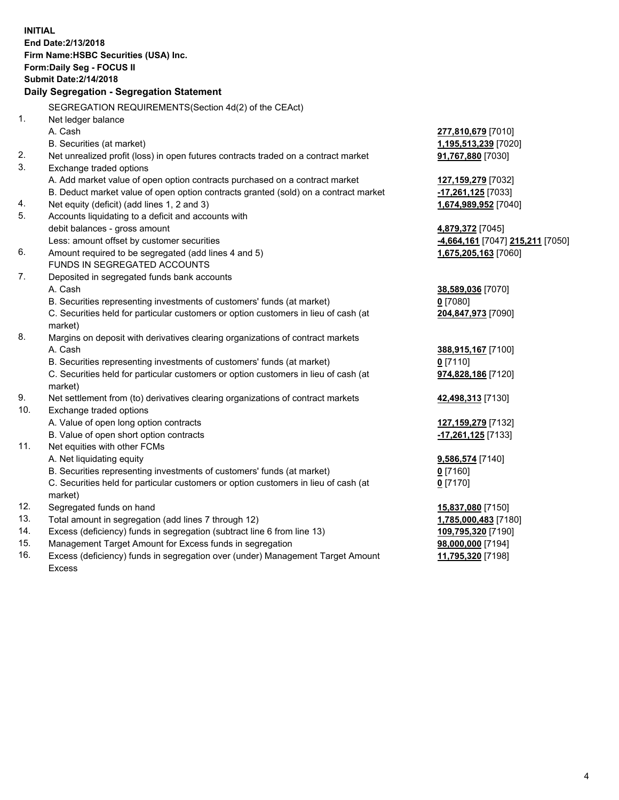**INITIAL End Date:2/13/2018 Firm Name:HSBC Securities (USA) Inc. Form:Daily Seg - FOCUS II Submit Date:2/14/2018 Daily Segregation - Segregation Statement** SEGREGATION REQUIREMENTS(Section 4d(2) of the CEAct) 1. Net ledger balance A. Cash **277,810,679** [7010] B. Securities (at market) **1,195,513,239** [7020] 2. Net unrealized profit (loss) in open futures contracts traded on a contract market **91,767,880** [7030] 3. Exchange traded options A. Add market value of open option contracts purchased on a contract market **127,159,279** [7032] B. Deduct market value of open option contracts granted (sold) on a contract market **-17,261,125** [7033] 4. Net equity (deficit) (add lines 1, 2 and 3) **1,674,989,952** [7040] 5. Accounts liquidating to a deficit and accounts with debit balances - gross amount **4,879,372** [7045] Less: amount offset by customer securities **-4,664,161** [7047] **215,211** [7050] 6. Amount required to be segregated (add lines 4 and 5) **1,675,205,163** [7060] FUNDS IN SEGREGATED ACCOUNTS 7. Deposited in segregated funds bank accounts A. Cash **38,589,036** [7070] B. Securities representing investments of customers' funds (at market) **0** [7080] C. Securities held for particular customers or option customers in lieu of cash (at market) **204,847,973** [7090] 8. Margins on deposit with derivatives clearing organizations of contract markets A. Cash **388,915,167** [7100] B. Securities representing investments of customers' funds (at market) **0** [7110] C. Securities held for particular customers or option customers in lieu of cash (at market) **974,828,186** [7120] 9. Net settlement from (to) derivatives clearing organizations of contract markets **42,498,313** [7130] 10. Exchange traded options A. Value of open long option contracts **127,159,279** [7132] B. Value of open short option contracts **-17,261,125** [7133] 11. Net equities with other FCMs A. Net liquidating equity **9,586,574** [7140] B. Securities representing investments of customers' funds (at market) **0** [7160] C. Securities held for particular customers or option customers in lieu of cash (at market) **0** [7170] 12. Segregated funds on hand **15,837,080** [7150] 13. Total amount in segregation (add lines 7 through 12) **1,785,000,483** [7180] 14. Excess (deficiency) funds in segregation (subtract line 6 from line 13) **109,795,320** [7190] 15. Management Target Amount for Excess funds in segregation **98,000,000** [7194]

16. Excess (deficiency) funds in segregation over (under) Management Target Amount Excess

**11,795,320** [7198]